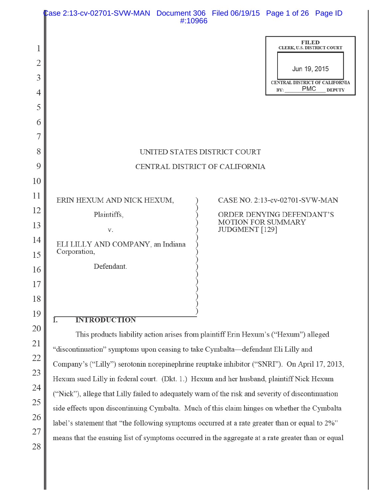|                      | Case 2:13-cv-02701-SVW-MAN Document 306 Filed 06/19/15 Page 1 of 26 Page ID                                                                                                                      | #:10966 |                           |                                                                                                                          |               |
|----------------------|--------------------------------------------------------------------------------------------------------------------------------------------------------------------------------------------------|---------|---------------------------|--------------------------------------------------------------------------------------------------------------------------|---------------|
| 1<br>2<br>3<br>4     |                                                                                                                                                                                                  |         |                           | <b>FILED</b><br>CLERK, U.S. DISTRICT COURT<br>Jun 19, 2015<br><b>CENTRAL DISTRICT OF CALIFORNIA</b><br><b>PMC</b><br>BY: | <b>DEPUTY</b> |
| 5<br>6<br>7          |                                                                                                                                                                                                  |         |                           |                                                                                                                          |               |
| 8<br>9               | UNITED STATES DISTRICT COURT<br>CENTRAL DISTRICT OF CALIFORNIA                                                                                                                                   |         |                           |                                                                                                                          |               |
| 10<br>11<br>12<br>13 | ERIN HEXUM AND NICK HEXUM,<br>Plaintiffs,                                                                                                                                                        |         | <b>MOTION FOR SUMMARY</b> | CASE NO. 2:13-cv-02701-SVW-MAN<br>ORDER DENYING DEFENDANT'S                                                              |               |
| 14<br>15             | V.<br>ELI LILLY AND COMPANY, an Indiana<br>Corporation,<br>Defendant.                                                                                                                            |         | JUDGMENT [129]            |                                                                                                                          |               |
| 16<br>17<br>18       |                                                                                                                                                                                                  |         |                           |                                                                                                                          |               |
| 19                   | <b>INTRODUCTION</b><br>Ī.                                                                                                                                                                        |         |                           |                                                                                                                          |               |
| 20                   | This products liability action arises from plaintiff Erin Hexum's ("Hexum") alleged                                                                                                              |         |                           |                                                                                                                          |               |
| 21<br>22             | "discontinuation" symptoms upon ceasing to take Cymbalta-defendant Eli Lilly and                                                                                                                 |         |                           |                                                                                                                          |               |
| 23                   | Company's ("Lilly") serotonin norepinephrine reuptake inhibitor ("SNRI"). On April 17, 2013,                                                                                                     |         |                           |                                                                                                                          |               |
| 24                   | Hexum sued Lilly in federal court. (Dkt. 1.) Hexum and her husband, plaintiff Nick Hexum                                                                                                         |         |                           |                                                                                                                          |               |
| 25                   | ("Nick"), allege that Lilly failed to adequately warn of the risk and severity of discontinuation<br>side effects upon discontinuing Cymbalta. Much of this claim hinges on whether the Cymbalta |         |                           |                                                                                                                          |               |

label's statement that "the following symptoms occurred at a rate greater than or equal to 2%"

26

27

28

means that the ensuing list of symptoms occurred in the aggregate at a rate greater than or equal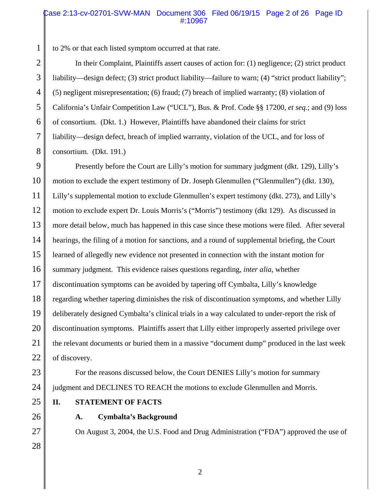### Case 2:13-cv-02701-SVW-MAN Document 306 Filed 06/19/15 Page 2 of 26 Page ID #:10967

to 2% or that each listed symptom occurred at that rate.

In their Complaint, Plaintiffs assert causes of action for: (1) negligence; (2) strict product liability—design defect; (3) strict product liability—failure to warn; (4) "strict product liability"; (5) negligent misrepresentation; (6) fraud; (7) breach of implied warranty; (8) violation of California's Unfair Competition Law ("UCL"), Bus. & Prof. Code §§ 17200, *et seq.*; and (9) loss of consortium. (Dkt. 1.) However, Plaintiffs have abandoned their claims for strict liability—design defect, breach of implied warranty, violation of the UCL, and for loss of consortium. (Dkt. 191.)

9 10 11 12 13 14 15 16 17 18 19 20 21 22 Presently before the Court are Lilly's motion for summary judgment (dkt. 129), Lilly's motion to exclude the expert testimony of Dr. Joseph Glenmullen ("Glenmullen") (dkt. 130), Lilly's supplemental motion to exclude Glenmullen's expert testimony (dkt. 273), and Lilly's motion to exclude expert Dr. Louis Morris's ("Morris") testimony (dkt 129). As discussed in more detail below, much has happened in this case since these motions were filed. After several hearings, the filing of a motion for sanctions, and a round of supplemental briefing, the Court learned of allegedly new evidence not presented in connection with the instant motion for summary judgment. This evidence raises questions regarding, *inter alia*, whether discontinuation symptoms can be avoided by tapering off Cymbalta, Lilly's knowledge regarding whether tapering diminishes the risk of discontinuation symptoms, and whether Lilly deliberately designed Cymbalta's clinical trials in a way calculated to under-report the risk of discontinuation symptoms. Plaintiffs assert that Lilly either improperly asserted privilege over the relevant documents or buried them in a massive "document dump" produced in the last week of discovery.

23

24

27

28

25

**II. STATEMENT OF FACTS**

26

### **A. Cymbalta's Background**

On August 3, 2004, the U.S. Food and Drug Administration ("FDA") approved the use of

1

For the reasons discussed below, the Court DENIES Lilly's motion for summary

judgment and DECLINES TO REACH the motions to exclude Glenmullen and Morris.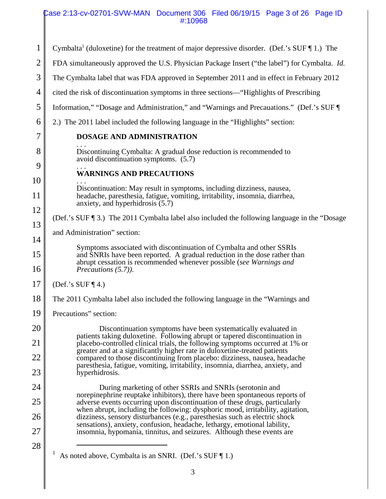### Case 2:13-cv-02701-SVW-MAN Document 306 Filed 06/19/15 Page 3 of 26 Page ID #:10968

| 1              | Cymbalta <sup>1</sup> (duloxetine) for the treatment of major depressive disorder. (Def.'s SUF $\P$ 1.) The                                                                                                              |  |
|----------------|--------------------------------------------------------------------------------------------------------------------------------------------------------------------------------------------------------------------------|--|
| $\overline{2}$ | FDA simultaneously approved the U.S. Physician Package Insert ("the label") for Cymbalta. <i>Id.</i>                                                                                                                     |  |
| 3              | The Cymbalta label that was FDA approved in September 2011 and in effect in February 2012                                                                                                                                |  |
| 4              | cited the risk of discontinuation symptoms in three sections—"Highlights of Prescribing                                                                                                                                  |  |
| 5              | Information," "Dosage and Administration," and "Warnings and Precauations." (Def.'s SUF                                                                                                                                  |  |
| 6              | 2.) The 2011 label included the following language in the "Highlights" section:                                                                                                                                          |  |
| 7              | DOSAGE AND ADMINISTRATION                                                                                                                                                                                                |  |
| 8              | Discontinuing Cymbalta: A gradual dose reduction is recommended to<br>avoid discontinuation symptoms. (5.7)                                                                                                              |  |
| 9              | <b>WARNINGS AND PRECAUTIONS</b>                                                                                                                                                                                          |  |
| 10             | Discontinuation: May result in symptoms, including dizziness, nausea,                                                                                                                                                    |  |
| 11<br>12       | headache, paresthesia, fatigue, vomiting, irritability, insomnia, diarrhea,<br>anxiety, and hyperhidrosis (5.7)                                                                                                          |  |
| 13             | (Def.'s SUF $\P$ 3.) The 2011 Cymbalta label also included the following language in the "Dosage"                                                                                                                        |  |
| 14             | and Administration" section:                                                                                                                                                                                             |  |
| 15             | Symptoms associated with discontinuation of Cymbalta and other SSRIs<br>and SNRIs have been reported. A gradual reduction in the dose rather than<br>abrupt cessation is recommended whenever possible (see Warnings and |  |
| 16             | Precautions (5.7)).                                                                                                                                                                                                      |  |
| 17             | (Def.'s SUF $\P$ 4.)                                                                                                                                                                                                     |  |
| 18             | The 2011 Cymbalta label also included the following language in the "Warnings and                                                                                                                                        |  |
| 19             | Precautions" section:                                                                                                                                                                                                    |  |
| 20             | Discontinuation symptoms have been systematically evaluated in<br>patients taking duloxetine. Following abrupt or tapered discontinuation in                                                                             |  |
| 21             | placebo-controlled clinical trials, the following symptoms occurred at 1% or<br>greater and at a significantly higher rate in duloxetine-treated patients                                                                |  |
| 22             | compared to those discontinuing from placebo: dizziness, nausea, headache<br>paresthesia, fatigue, vomiting, irritability, insomnia, diarrhea, anxiety, and                                                              |  |
| 23             | hyperhidrosis.                                                                                                                                                                                                           |  |
| 24             | During marketing of other SSRIs and SNRIs (serotonin and<br>norepinephrine reuptake inhibitors), there have been spontaneous reports of                                                                                  |  |
| 25             | adverse events occurring upon discontinuation of these drugs, particularly<br>when abrupt, including the following: dysphoric mood, irritability, agitation,                                                             |  |
| 26             | dizziness, sensory disturbances (e.g., paresthesias such as electric shock<br>sensations), anxiety, confusion, headache, lethargy, emotional lability,                                                                   |  |
| 27             | insomnia, hypomania, tinnitus, and seizures. Although these events are                                                                                                                                                   |  |
| 28             | As noted above, Cymbalta is an SNRI. (Def.'s SUF [1.)                                                                                                                                                                    |  |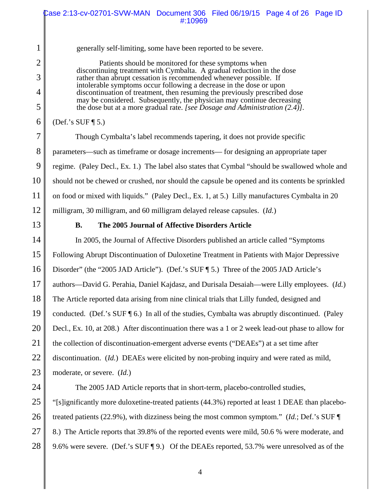generally self-limiting, some have been reported to be severe.

Patients should be monitored for these symptoms when discontinuing treatment with Cymbalta. A gradual reduction in the dose rather than abrupt cessation is recommended whenever possible. If intolerable symptoms occur following a decrease in the dose or upon discontinuation of treatment, then resuming the previously prescribed dose may be considered. Subsequently, the physician may continue decreasing the dose but at a more gradual rate. *[see Dosage and Administration (2.4)].*

(Def.'s SUF ¶ 5.)

7 8 9 10 11 12 Though Cymbalta's label recommends tapering, it does not provide specific parameters—such as timeframe or dosage increments— for designing an appropriate taper regime. (Paley Decl., Ex. 1.) The label also states that Cymbal "should be swallowed whole and should not be chewed or crushed, nor should the capsule be opened and its contents be sprinkled on food or mixed with liquids." (Paley Decl., Ex. 1, at 5.) Lilly manufactures Cymbalta in 20 milligram, 30 milligram, and 60 milligram delayed release capsules. (*Id.*)

13

1

2

3

4

5

6

### **B. The 2005 Journal of Affective Disorders Article**

14 15 16 17 18 19 20 21 22 23 In 2005, the Journal of Affective Disorders published an article called "Symptoms Following Abrupt Discontinuation of Duloxetine Treatment in Patients with Major Depressive Disorder" (the "2005 JAD Article"). (Def.'s SUF ¶ 5.) Three of the 2005 JAD Article's authors—David G. Perahia, Daniel Kajdasz, and Durisala Desaiah—were Lilly employees. (*Id.*) The Article reported data arising from nine clinical trials that Lilly funded, designed and conducted. (Def.'s SUF ¶ 6.) In all of the studies, Cymbalta was abruptly discontinued. (Paley Decl., Ex. 10, at 208.) After discontinuation there was a 1 or 2 week lead-out phase to allow for the collection of discontinuation-emergent adverse events ("DEAEs") at a set time after discontinuation. (*Id.*) DEAEs were elicited by non-probing inquiry and were rated as mild, moderate, or severe. (*Id.*)

24

25

26

27

28

The 2005 JAD Article reports that in short-term, placebo-controlled studies, "[s]ignificantly more duloxetine-treated patients (44.3%) reported at least 1 DEAE than placebotreated patients (22.9%), with dizziness being the most common symptom." (*Id.*; Def.'s SUF ¶ 8.) The Article reports that 39.8% of the reported events were mild, 50.6 % were moderate, and 9.6% were severe. (Def.'s SUF ¶ 9.) Of the DEAEs reported, 53.7% were unresolved as of the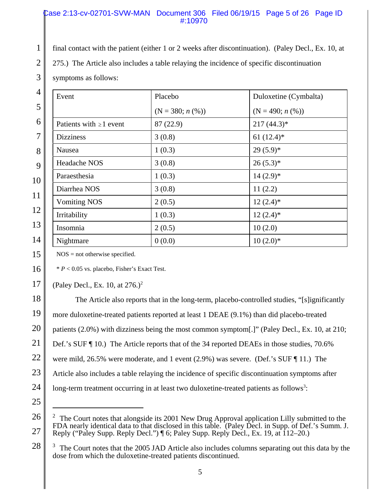### Case 2:13-cv-02701-SVW-MAN Document 306 Filed 06/19/15 Page 5 of 26 Page ID #:10970

final contact with the patient (either 1 or 2 weeks after discontinuation). (Paley Decl., Ex. 10, at

275.) The Article also includes a table relaying the incidence of specific discontinuation

symptoms as follows:

1

2

3

15

17

| $\overline{4}$ | Event                        | Placebo           | Duloxetine (Cymbalta) |
|----------------|------------------------------|-------------------|-----------------------|
| 5              |                              | $(N = 380; n (%)$ | $(N = 490; n (%)$     |
| 6              | Patients with $\geq 1$ event | 87 (22.9)         | $217(44.3)*$          |
| $\overline{7}$ | <b>Dizziness</b>             | 3(0.8)            | 61 $(12.4)$ *         |
| 8              | Nausea                       | 1(0.3)            | $29(5.9)*$            |
| 9              | Headache NOS                 | 3(0.8)            | $26(5.3)*$            |
| 10             | Paraesthesia                 | 1(0.3)            | $14(2.9)*$            |
| 11             | Diarrhea NOS                 | 3(0.8)            | 11(2.2)               |
|                | <b>Vomiting NOS</b>          | 2(0.5)            | $12(2.4)$ *           |
| 12             | Irritability                 | 1(0.3)            | $12(2.4)$ *           |
| 13             | Insomnia                     | 2(0.5)            | 10(2.0)               |
| 14             | Nightmare                    | 0(0.0)            | $10(2.0)*$            |

 $NOS = not$  otherwise specified.

16 \* *P* < 0.05 vs. placebo, Fisher's Exact Test.

(Paley Decl., Ex. 10, at  $276.$ )<sup>2</sup>

18 19 20 21 22 23 24 25 The Article also reports that in the long-term, placebo-controlled studies, "[s]ignificantly more duloxetine-treated patients reported at least 1 DEAE (9.1%) than did placebo-treated patients (2.0%) with dizziness being the most common symptom[.]" (Paley Decl., Ex. 10, at 210; Def.'s SUF ¶ 10.) The Article reports that of the 34 reported DEAEs in those studies, 70.6% were mild, 26.5% were moderate, and 1 event (2.9%) was severe. (Def.'s SUF ¶ 11.) The Article also includes a table relaying the incidence of specific discontinuation symptoms after long-term treatment occurring in at least two duloxetine-treated patients as follows<sup>3</sup>:

<sup>26</sup> 27 <sup>2</sup> The Court notes that alongside its 2001 New Drug Approval application Lilly submitted to the FDA nearly identical data to that disclosed in this table. (Paley Decl. in Supp. of Def.'s Summ. J. Reply ("Paley Supp. Reply Decl.") ¶ 6; Paley Supp. Reply Decl., Ex. 19, at 112–20.)

<sup>28</sup> 3 The Court notes that the 2005 JAD Article also includes columns separating out this data by the dose from which the duloxetine-treated patients discontinued.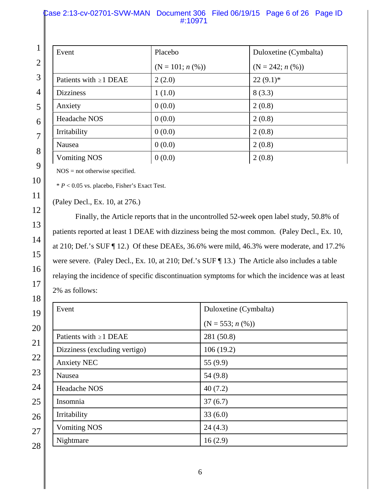### Case 2:13-cv-02701-SVW-MAN Document 306 Filed 06/19/15 Page 6 of 26 Page ID #:10971

| $1 \parallel$  | Event                       | Placebo           | Duloxetine (Cymbalta) |
|----------------|-----------------------------|-------------------|-----------------------|
| $\overline{2}$ |                             | $(N = 101; n (%)$ | $(N = 242; n (\%))$   |
| 3              | Patients with $\geq 1$ DEAE | 2(2.0)            | $22(9.1)$ *           |
| 4              | <b>Dizziness</b>            | 1(1.0)            | 8(3.3)                |
| 5              | Anxiety                     | 0(0.0)            | 2(0.8)                |
| 6              | <b>Headache NOS</b>         | 0(0.0)            | 2(0.8)                |
| $\overline{7}$ | Irritability                | 0(0.0)            | 2(0.8)                |
| 8              | Nausea                      | 0(0.0)            | 2(0.8)                |
| $\sim$ 1       | <b>Vomiting NOS</b>         | 0(0.0)            | 2(0.8)                |
|                |                             |                   |                       |

NOS = not otherwise specified.

\* *P* < 0.05 vs. placebo, Fisher's Exact Test.

(Paley Decl., Ex. 10, at 276.)

Finally, the Article reports that in the uncontrolled 52-week open label study, 50.8% of patients reported at least 1 DEAE with dizziness being the most common. (Paley Decl., Ex. 10, at 210; Def.'s SUF ¶ 12.) Of these DEAEs, 36.6% were mild, 46.3% were moderate, and 17.2% were severe. (Paley Decl., Ex. 10, at 210; Def.'s SUF ¶ 13.) The Article also includes a table relaying the incidence of specific discontinuation symptoms for which the incidence was at least 2% as follows:

| Event                         | Duloxetine (Cymbalta) |
|-------------------------------|-----------------------|
|                               | $(N = 553; n (\%))$   |
| Patients with $\geq 1$ DEAE   | 281 (50.8)            |
| Dizziness (excluding vertigo) | 106(19.2)             |
| <b>Anxiety NEC</b>            | 55 $(9.9)$            |
| Nausea                        | 54(9.8)               |
| <b>Headache NOS</b>           | 40(7.2)               |
| Insomnia                      | 37(6.7)               |
| Irritability                  | 33(6.0)               |
| <b>Vomiting NOS</b>           | 24(4.3)               |
| Nightmare                     | 16(2.9)               |
|                               |                       |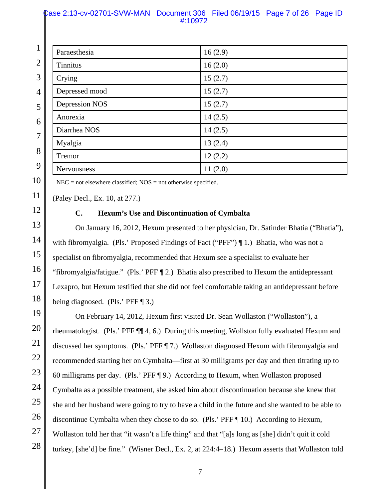### Case 2:13-cv-02701-SVW-MAN Document 306 Filed 06/19/15 Page 7 of 26 Page ID #:10972

| 1 <sup>1</sup> | Paraesthesia    | 16(2.9) |
|----------------|-----------------|---------|
| $\overline{2}$ | <b>Tinnitus</b> | 16(2.0) |
| 3              | Crying          | 15(2.7) |
| $\overline{4}$ | Depressed mood  | 15(2.7) |
| 5              | Depression NOS  | 15(2.7) |
| 6              | Anorexia        | 14(2.5) |
| $\overline{7}$ | Diarrhea NOS    | 14(2.5) |
|                | Myalgia         | 13(2.4) |
| 8              | Tremor          | 12(2.2) |
| 9              | Nervousness     | 11(2.0) |

 $NEC = not$  elsewhere classified;  $NOS = not$  otherwise specified.

(Paley Decl., Ex. 10, at 277.)

10

11

12

13

14

15

16

17

18

### **C. Hexum's Use and Discontinuation of Cymbalta**

On January 16, 2012, Hexum presented to her physician, Dr. Satinder Bhatia ("Bhatia"), with fibromyalgia. (Pls.' Proposed Findings of Fact ("PFF")  $\P$  1.) Bhatia, who was not a specialist on fibromyalgia, recommended that Hexum see a specialist to evaluate her "fibromyalgia/fatigue." (Pls.' PFF ¶ 2.) Bhatia also prescribed to Hexum the antidepressant Lexapro, but Hexum testified that she did not feel comfortable taking an antidepressant before being diagnosed. (Pls.' PFF ¶ 3.)

19 20 21 22 23 24 25 26 27 28 On February 14, 2012, Hexum first visited Dr. Sean Wollaston ("Wollaston"), a rheumatologist. (Pls.' PFF ¶¶ 4, 6.) During this meeting, Wollston fully evaluated Hexum and discussed her symptoms. (Pls.' PFF ¶ 7.) Wollaston diagnosed Hexum with fibromyalgia and recommended starting her on Cymbalta—first at 30 milligrams per day and then titrating up to 60 milligrams per day. (Pls.' PFF ¶ 9.) According to Hexum, when Wollaston proposed Cymbalta as a possible treatment, she asked him about discontinuation because she knew that she and her husband were going to try to have a child in the future and she wanted to be able to discontinue Cymbalta when they chose to do so. (Pls.' PFF ¶ 10.) According to Hexum, Wollaston told her that "it wasn't a life thing" and that "[a]s long as [she] didn't quit it cold turkey, [she'd] be fine." (Wisner Decl., Ex. 2, at 224:4–18.) Hexum asserts that Wollaston told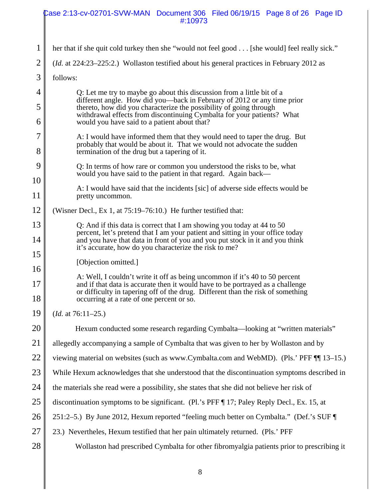|                | Case 2:13-cv-02701-SVW-MAN Document 306 Filed 06/19/15 Page 8 of 26 Page ID<br>#:10973                                                                                                                                                                                  |
|----------------|-------------------------------------------------------------------------------------------------------------------------------------------------------------------------------------------------------------------------------------------------------------------------|
|                |                                                                                                                                                                                                                                                                         |
| 1              | her that if she quit cold turkey then she "would not feel good [she would] feel really sick."                                                                                                                                                                           |
| $\overline{2}$ | ( <i>Id.</i> at 224:23–225:2.) Wollaston testified about his general practices in February 2012 as                                                                                                                                                                      |
| 3              | follows:                                                                                                                                                                                                                                                                |
| 4              | Q: Let me try to maybe go about this discussion from a little bit of a                                                                                                                                                                                                  |
| 5<br>6         | different angle. How did you—back in February of 2012 or any time prior<br>thereto, how did you characterize the possibility of going through<br>withdrawal effects from discontinuing Cymbalta for your patients? What<br>would you have said to a patient about that? |
| 7              | A: I would have informed them that they would need to taper the drug. But                                                                                                                                                                                               |
| 8              | probably that would be about it. That we would not advocate the sudden<br>termination of the drug but a tapering of it.                                                                                                                                                 |
| 9              | Q: In terms of how rare or common you understood the risks to be, what<br>would you have said to the patient in that regard. Again back—                                                                                                                                |
| 10             | A: I would have said that the incidents [sic] of adverse side effects would be                                                                                                                                                                                          |
| 11             | pretty uncommon.                                                                                                                                                                                                                                                        |
| 12             | (Wisner Decl., Ex 1, at 75:19–76:10.) He further testified that:                                                                                                                                                                                                        |
| 13             | O: And if this data is correct that I am showing you today at 44 to 50<br>percent, let's pretend that I am your patient and sitting in your office today                                                                                                                |
| 14<br>15       | and you have that data in front of you and you put stock in it and you think<br>it's accurate, how do you characterize the risk to me?                                                                                                                                  |
| 16             | [Objection omitted.]                                                                                                                                                                                                                                                    |
|                | A: Well, I couldn't write it off as being uncommon if it's 40 to 50 percent                                                                                                                                                                                             |
| 17<br>18       | and if that data is accurate then it would have to be portrayed as a challenge<br>or difficulty in tapering off of the drug. Different than the risk of something<br>occurring at a rate of one percent or so.                                                          |
| 19             | $(Id. at 76:11-25.)$                                                                                                                                                                                                                                                    |
| 20             | Hexum conducted some research regarding Cymbalta—looking at "written materials"                                                                                                                                                                                         |
| 21             | allegedly accompanying a sample of Cymbalta that was given to her by Wollaston and by                                                                                                                                                                                   |
| 22             | viewing material on websites (such as www.Cymbalta.com and WebMD). (Pls.' PFF ¶ 13–15.)                                                                                                                                                                                 |
| 23             | While Hexum acknowledges that she understood that the discontinuation symptoms described in                                                                                                                                                                             |
| 24             | the materials she read were a possibility, she states that she did not believe her risk of                                                                                                                                                                              |
| 25             | discontinuation symptoms to be significant. (Pl.'s PFF ¶ 17; Paley Reply Decl., Ex. 15, at                                                                                                                                                                              |
| 26             | 251:2–5.) By June 2012, Hexum reported "feeling much better on Cymbalta." (Def.'s SUF                                                                                                                                                                                   |
| 27             | 23.) Nevertheles, Hexum testified that her pain ultimately returned. (Pls.' PFF                                                                                                                                                                                         |
| 28             | Wollaston had prescribed Cymbalta for other fibromyalgia patients prior to prescribing it                                                                                                                                                                               |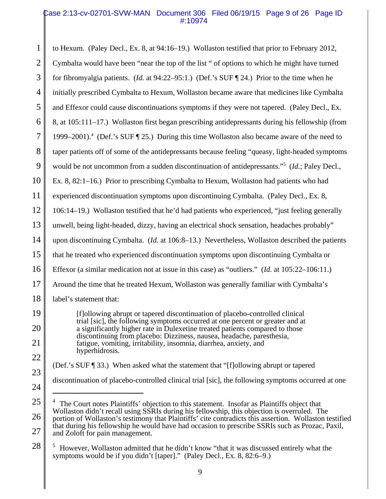### Case 2:13-cv-02701-SVW-MAN Document 306 Filed 06/19/15 Page 9 of 26 Page ID #:10974

1 2 3 4 5 6 7 8 9 10 11 12 13 14 15 16 17 18 19 20 21 22 23 to Hexum. (Paley Decl., Ex. 8, at 94:16–19.) Wollaston testified that prior to February 2012, Cymbalta would have been "near the top of the list " of options to which he might have turned for fibromyalgia patients. (*Id.* at 94:22–95:1.) (Def.'s SUF ¶ 24.) Prior to the time when he initially prescribed Cymbalta to Hexum, Wollaston became aware that medicines like Cymbalta and Effexor could cause discontinuations symptoms if they were not tapered. (Paley Decl., Ex. 8, at 105:111–17.) Wollaston first began prescribing antidepressants during his fellowship (from 1999–2001).<sup>4</sup> (Def.'s SUF [25.) During this time Wollaston also became aware of the need to taper patients off of some of the antidepressants because feeling "queasy, light-headed symptoms would be not uncommon from a sudden discontinuation of antidepressants."<sup>5</sup> (*Id.*; Paley Decl., Ex. 8, 82:1–16.) Prior to prescribing Cymbalta to Hexum, Wollaston had patients who had experienced discontinuation symptoms upon discontinuing Cymbalta. (Paley Decl., Ex. 8, 106:14–19.) Wollaston testified that he'd had patients who experienced, "just feeling generally unwell, being light-headed, dizzy, having an electrical shock sensation, headaches probably" upon discontinuing Cymbalta. (*Id.* at 106:8–13.) Nevertheless, Wollaston described the patients that he treated who experienced discontinuation symptoms upon discontinuing Cymbalta or Effexor (a similar medication not at issue in this case) as "outliers." (*Id.* at 105:22–106:11.) Around the time that he treated Hexum, Wollaston was generally familiar with Cymbalta's label's statement that: [f]ollowing abrupt or tapered discontinuation of placebo-controlled clinical trial [sic], the following symptoms occurred at one percent or greater and at a significantly higher rate in Dulexetine treated patients compared to those discontinuing from placebo: Dizziness, nausea, headache, paresthesia, fatigue, vomiting, irritability, insomnia, diarrhea, anxiety, and hyperhidrosis. (Def.'s SUF ¶ 33.) When asked what the statement that "[f]ollowing abrupt or tapered

discontinuation of placebo-controlled clinical trial [sic], the following symptoms occurred at one

24

<sup>25</sup> 26 27 4 The Court notes Plaintiffs' objection to this statement. Insofar as Plaintiffs object that Wollaston didn't recall using SSRIs during his fellowship, this objection is overruled. The portion of Wollaston's testimony that Plaintiffs' cite contradicts this assertion. Wollaston testified that during his fellowship he would have had occasion to prescribe SSRIs such as Prozac, Paxil, and Zoloft for pain management.

<sup>5</sup> However, Wollaston admitted that he didn't know "that it was discussed entirely what the symptoms would be if you didn't [taper]." (Paley Decl., Ex. 8, 82:6–9.)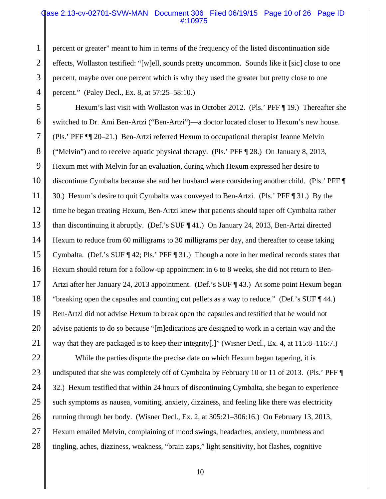### Case 2:13-cv-02701-SVW-MAN Document 306 Filed 06/19/15 Page 10 of 26 Page ID #:10975

percent or greater" meant to him in terms of the frequency of the listed discontinuation side effects, Wollaston testified: "[w]ell, sounds pretty uncommon. Sounds like it [sic] close to one percent, maybe over one percent which is why they used the greater but pretty close to one percent." (Paley Decl., Ex. 8, at 57:25–58:10.)

1

2

3

4

5 6 7 8 9 10 11 12 13 14 15 16 17 18 19 20 21 Hexum's last visit with Wollaston was in October 2012. (Pls.' PFF ¶ 19.) Thereafter she switched to Dr. Ami Ben-Artzi ("Ben-Artzi")—a doctor located closer to Hexum's new house. (Pls.' PFF ¶¶ 20–21.) Ben-Artzi referred Hexum to occupational therapist Jeanne Melvin ("Melvin") and to receive aquatic physical therapy. (Pls.' PFF ¶ 28.) On January 8, 2013, Hexum met with Melvin for an evaluation, during which Hexum expressed her desire to discontinue Cymbalta because she and her husband were considering another child. (Pls.' PFF ¶ 30.) Hexum's desire to quit Cymbalta was conveyed to Ben-Artzi. (Pls.' PFF ¶ 31.) By the time he began treating Hexum, Ben-Artzi knew that patients should taper off Cymbalta rather than discontinuing it abruptly. (Def.'s SUF ¶ 41.) On January 24, 2013, Ben-Artzi directed Hexum to reduce from 60 milligrams to 30 milligrams per day, and thereafter to cease taking Cymbalta. (Def.'s SUF ¶ 42; Pls.' PFF ¶ 31.) Though a note in her medical records states that Hexum should return for a follow-up appointment in 6 to 8 weeks, she did not return to Ben-Artzi after her January 24, 2013 appointment. (Def.'s SUF ¶ 43.) At some point Hexum began "breaking open the capsules and counting out pellets as a way to reduce." (Def.'s SUF ¶ 44.) Ben-Artzi did not advise Hexum to break open the capsules and testified that he would not advise patients to do so because "[m]edications are designed to work in a certain way and the way that they are packaged is to keep their integrity[.]" (Wisner Decl., Ex. 4, at 115:8–116:7.)

22 23 24 25 26 27 28 While the parties dispute the precise date on which Hexum began tapering, it is undisputed that she was completely off of Cymbalta by February 10 or 11 of 2013. (Pls.' PFF ¶ 32.) Hexum testified that within 24 hours of discontinuing Cymbalta, she began to experience such symptoms as nausea, vomiting, anxiety, dizziness, and feeling like there was electricity running through her body. (Wisner Decl., Ex. 2, at 305:21–306:16.) On February 13, 2013, Hexum emailed Melvin, complaining of mood swings, headaches, anxiety, numbness and tingling, aches, dizziness, weakness, "brain zaps," light sensitivity, hot flashes, cognitive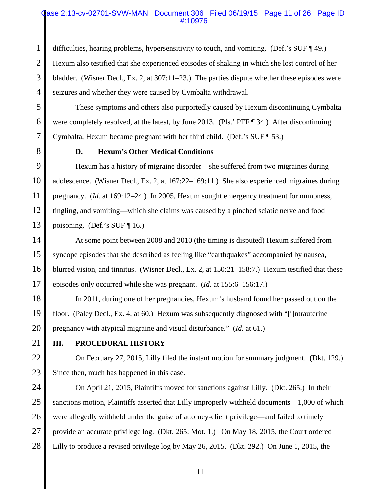### Case 2:13-cv-02701-SVW-MAN Document 306 Filed 06/19/15 Page 11 of 26 Page ID #:10976

1 2 3 4 difficulties, hearing problems, hypersensitivity to touch, and vomiting. (Def.'s SUF ¶ 49.) Hexum also testified that she experienced episodes of shaking in which she lost control of her bladder. (Wisner Decl., Ex. 2, at 307:11–23.) The parties dispute whether these episodes were seizures and whether they were caused by Cymbalta withdrawal.

These symptoms and others also purportedly caused by Hexum discontinuing Cymbalta were completely resolved, at the latest, by June 2013. (Pls.' PFF ¶ 34.) After discontinuing Cymbalta, Hexum became pregnant with her third child. (Def.'s SUF ¶ 53.)

5

6

7

8

### **D. Hexum's Other Medical Conditions**

9 10 11 12 13 Hexum has a history of migraine disorder—she suffered from two migraines during adolescence. (Wisner Decl., Ex. 2, at 167:22–169:11.) She also experienced migraines during pregnancy. (*Id.* at 169:12–24.) In 2005, Hexum sought emergency treatment for numbness, tingling, and vomiting—which she claims was caused by a pinched sciatic nerve and food poisoning. (Def.'s SUF ¶ 16.)

14 15 16 17 At some point between 2008 and 2010 (the timing is disputed) Hexum suffered from syncope episodes that she described as feeling like "earthquakes" accompanied by nausea, blurred vision, and tinnitus. (Wisner Decl., Ex. 2, at 150:21–158:7.) Hexum testified that these episodes only occurred while she was pregnant. (*Id.* at 155:6–156:17.)

18 19 20 In 2011, during one of her pregnancies, Hexum's husband found her passed out on the floor. (Paley Decl., Ex. 4, at 60.) Hexum was subsequently diagnosed with "[i]ntrauterine pregnancy with atypical migraine and visual disturbance." (*Id.* at 61.)

21

22

23

### **III. PROCEDURAL HISTORY**

On February 27, 2015, Lilly filed the instant motion for summary judgment. (Dkt. 129.) Since then, much has happened in this case.

24 25 26 27 28 On April 21, 2015, Plaintiffs moved for sanctions against Lilly. (Dkt. 265.) In their sanctions motion, Plaintiffs asserted that Lilly improperly withheld documents—1,000 of which were allegedly withheld under the guise of attorney-client privilege—and failed to timely provide an accurate privilege log. (Dkt. 265: Mot. 1.) On May 18, 2015, the Court ordered Lilly to produce a revised privilege log by May 26, 2015. (Dkt. 292.) On June 1, 2015, the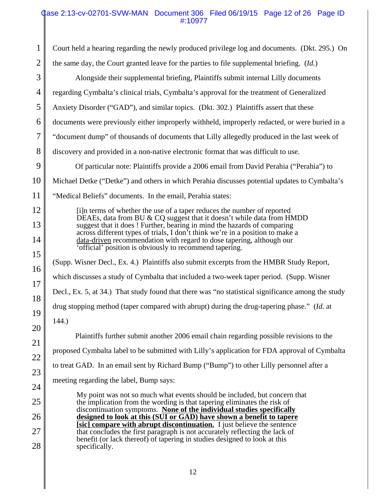### Case 2:13-cv-02701-SVW-MAN Document 306 Filed 06/19/15 Page 12 of 26 Page ID #:10977

| 1              | Court held a hearing regarding the newly produced privilege log and documents. (Dkt. 295.) On                                                                                                                                      |
|----------------|------------------------------------------------------------------------------------------------------------------------------------------------------------------------------------------------------------------------------------|
| $\overline{2}$ | the same day, the Court granted leave for the parties to file supplemental briefing. (Id.)                                                                                                                                         |
| 3              | Alongside their supplemental briefing, Plaintiffs submit internal Lilly documents                                                                                                                                                  |
| 4              | regarding Cymbalta's clinical trials, Cymbalta's approval for the treatment of Generalized                                                                                                                                         |
| 5              | Anxiety Disorder ("GAD"), and similar topics. (Dkt. 302.) Plaintiffs assert that these                                                                                                                                             |
| 6              | documents were previously either improperly withheld, improperly redacted, or were buried in a                                                                                                                                     |
| $\overline{7}$ | "document dump" of thousands of documents that Lilly allegedly produced in the last week of                                                                                                                                        |
| 8              | discovery and provided in a non-native electronic format that was difficult to use.                                                                                                                                                |
| 9              | Of particular note: Plaintiffs provide a 2006 email from David Perahia ("Perahia") to                                                                                                                                              |
| 10             | Michael Detke ("Detke") and others in which Perahia discusses potential updates to Cymbalta's                                                                                                                                      |
| 11             | "Medical Beliefs" documents. In the email, Perahia states:                                                                                                                                                                         |
| 12             | [i]n terms of whether the use of a taper reduces the number of reported                                                                                                                                                            |
| 13             | DEAEs, data from BU & CQ suggest that it doesn't while data from HMDD<br>suggest that it does ! Further, bearing in mind the hazards of comparing<br>across different types of trials, I don't think we're in a position to make a |
| 14             | data-driven recommendation with regard to dose tapering, although our<br>'official' position is obviously to recommend tapering.                                                                                                   |
| 15             |                                                                                                                                                                                                                                    |
| 16             | (Supp. Wisner Decl., Ex. 4.) Plaintiffs also submit excerpts from the HMBR Study Report,                                                                                                                                           |
| 17             | which discusses a study of Cymbalta that included a two-week taper period. (Supp. Wisner                                                                                                                                           |
| 18             | Decl., Ex. 5, at 34.) That study found that there was "no statistical significance among the study                                                                                                                                 |
| 19             | drug stopping method (taper compared with abrupt) during the drug-tapering phase." (Id. at                                                                                                                                         |
| 20             | 144.                                                                                                                                                                                                                               |
| 21             | Plaintiffs further submit another 2006 email chain regarding possible revisions to the                                                                                                                                             |
| 22             | proposed Cymbalta label to be submitted with Lilly's application for FDA approval of Cymbalta                                                                                                                                      |
| 23             | to treat GAD. In an email sent by Richard Bump ("Bump") to other Lilly personnel after a                                                                                                                                           |
| 24             | meeting regarding the label, Bump says:                                                                                                                                                                                            |
| 25             | My point was not so much what events should be included, but concern that<br>the implication from the wording is that tapering eliminates the risk of                                                                              |
| 26             | discontinuation symptoms. None of the individual studies specifically<br>designed to look at this (SUI or GAD) have shown a benefit to tapere                                                                                      |
| 27             | [sic] compare with abrupt discontinuation. I just believe the sentence<br>that concludes the first paragraph is not accurately reflecting the lack of                                                                              |
| 28             | benefit (or lack thereof) of tapering in studies designed to look at this<br>specifically.                                                                                                                                         |
|                |                                                                                                                                                                                                                                    |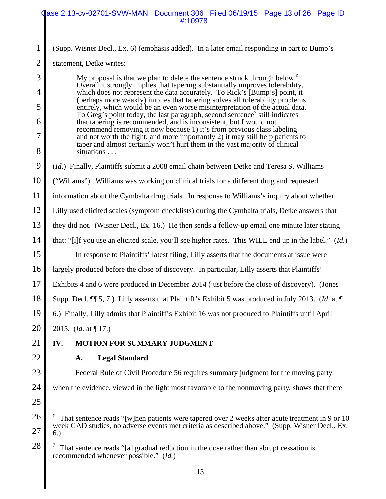### Case 2:13-cv-02701-SVW-MAN Document 306 Filed 06/19/15 Page 13 of 26 Page ID #:10978

1 2 (Supp. Wisner Decl., Ex. 6) (emphasis added). In a later email responding in part to Bump's

statement, Detke writes:

3

4

5

6

7

8

9

My proposal is that we plan to delete the sentence struck through below.<sup>6</sup> Overall it strongly implies that tapering substantially improves tolerability, which does not represent the data accurately. To Rick's [Bump's] point, it (perhaps more weakly) implies that tapering solves all tolerability problems entirely, which would be an even worse misinterpretation of the actual data. To Greg's point today, the last paragraph, second sentence<sup>7</sup> still indicates that tapering is recommended, and is inconsistent, but I would not recommend removing it now because 1) it's from previous class labeling and not worth the fight, and more importantly 2) it may still help patients to taper and almost certainly won't hurt them in the vast majority of clinical situations . . .

(*Id.*) Finally, Plaintiffs submit a 2008 email chain between Detke and Teresa S. Williams

10 ("Willams"). Williams was working on clinical trials for a different drug and requested

11 information about the Cymbalta drug trials. In response to Williams's inquiry about whether

12 Lilly used elicited scales (symptom checklists) during the Cymbalta trials, Detke answers that

13 they did not. (Wisner Decl., Ex. 16.) He then sends a follow-up email one minute later stating

14 that: "[i]f you use an elicited scale, you'll see higher rates. This WILL end up in the label." (*Id.*)

15 16 In response to Plaintiffs' latest filing, Lilly asserts that the documents at issue were largely produced before the close of discovery. In particular, Lilly asserts that Plaintiffs'

17 Exhibits 4 and 6 were produced in December 2014 (just before the close of discovery). (Jones

18 Supp. Decl. ¶¶ 5, 7.) Lilly asserts that Plaintiff's Exhibit 5 was produced in July 2013. (*Id*. at ¶

19 6.) Finally, Lilly admits that Plaintiff's Exhibit 16 was not produced to Plaintiffs until April

20 2015. (*Id.* at ¶ 17.)

#### 21 **IV. MOTION FOR SUMMARY JUDGMENT**

22 23

### **A. Legal Standard**

Federal Rule of Civil Procedure 56 requires summary judgment for the moving party when the evidence, viewed in the light most favorable to the nonmoving party, shows that there

25

24

26

27

 $6$  That sentence reads "[w]hen patients were tapered over 2 weeks after acute treatment in 9 or 10 week GAD studies, no adverse events met criteria as described above." (Supp. Wisner Decl., Ex. 6.)

<sup>7</sup> That sentence reads "[a] gradual reduction in the dose rather than abrupt cessation is recommended whenever possible." (*Id.*)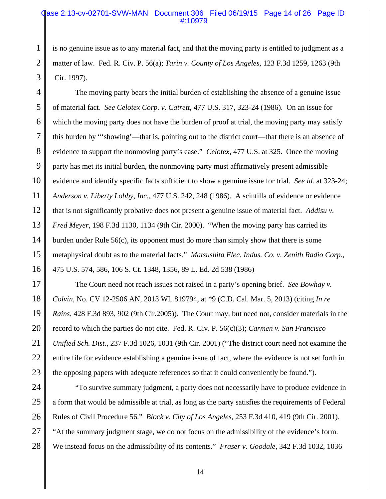### Case 2:13-cv-02701-SVW-MAN Document 306 Filed 06/19/15 Page 14 of 26 Page ID #:10979

is no genuine issue as to any material fact, and that the moving party is entitled to judgment as a matter of law. Fed. R. Civ. P. 56(a); *Tarin v. County of Los Angeles*, 123 F.3d 1259, 1263 (9th Cir. 1997).

1

2

3

4 5 6 7 8 9 10 11 12 13 14 15 16 The moving party bears the initial burden of establishing the absence of a genuine issue of material fact. *See Celotex Corp. v. Catrett*, 477 U.S. 317, 323-24 (1986). On an issue for which the moving party does not have the burden of proof at trial, the moving party may satisfy this burden by "'showing'—that is, pointing out to the district court—that there is an absence of evidence to support the nonmoving party's case." *Celotex*, 477 U.S. at 325. Once the moving party has met its initial burden, the nonmoving party must affirmatively present admissible evidence and identify specific facts sufficient to show a genuine issue for trial. *See id.* at 323-24; *Anderson v. Liberty Lobby, Inc.*, 477 U.S. 242, 248 (1986). A scintilla of evidence or evidence that is not significantly probative does not present a genuine issue of material fact. *Addisu v. Fred Meyer*, 198 F.3d 1130, 1134 (9th Cir. 2000). "When the moving party has carried its burden under Rule 56(c), its opponent must do more than simply show that there is some metaphysical doubt as to the material facts." *Matsushita Elec. Indus. Co. v. Zenith Radio Corp.*, 475 U.S. 574, 586, 106 S. Ct. 1348, 1356, 89 L. Ed. 2d 538 (1986)

17 18 19 20 21 22 23 The Court need not reach issues not raised in a party's opening brief. *See Bowhay v. Colvin*, No. CV 12-2506 AN, 2013 WL 819794, at \*9 (C.D. Cal. Mar. 5, 2013) (citing *In re Rains*, 428 F.3d 893, 902 (9th Cir.2005)). The Court may, but need not, consider materials in the record to which the parties do not cite. Fed. R. Civ. P. 56(c)(3); *Carmen v. San Francisco Unified Sch. Dist.*, 237 F.3d 1026, 1031 (9th Cir. 2001) ("The district court need not examine the entire file for evidence establishing a genuine issue of fact, where the evidence is not set forth in the opposing papers with adequate references so that it could conveniently be found.").

24 25 26 27 28 "To survive summary judgment, a party does not necessarily have to produce evidence in a form that would be admissible at trial, as long as the party satisfies the requirements of Federal Rules of Civil Procedure 56." *Block v. City of Los Angeles*, 253 F.3d 410, 419 (9th Cir. 2001). "At the summary judgment stage, we do not focus on the admissibility of the evidence's form. We instead focus on the admissibility of its contents." *Fraser v. Goodale*, 342 F.3d 1032, 1036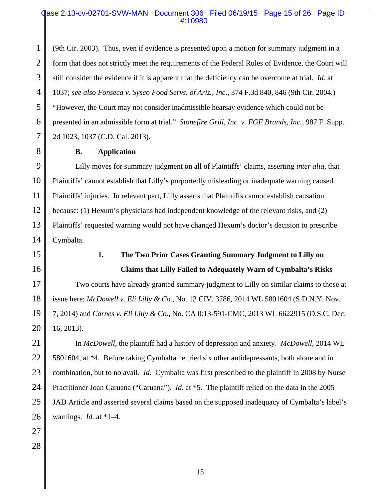### Case 2:13-cv-02701-SVW-MAN Document 306 Filed 06/19/15 Page 15 of 26 Page ID #:10980

1 2 3 4 5 6 7 (9th Cir. 2003). Thus, even if evidence is presented upon a motion for summary judgment in a form that does not strictly meet the requirements of the Federal Rules of Evidence, the Court will still consider the evidence if it is apparent that the deficiency can be overcome at trial. *Id.* at 1037; *see also Fonseca v. Sysco Food Servs. of Ariz., Inc.*, 374 F.3d 840, 846 (9th Cir. 2004.) "However, the Court may not consider inadmissible hearsay evidence which could not be presented in an admissible form at trial." *Stonefire Grill, Inc. v. FGF Brands, Inc.*, 987 F. Supp. 2d 1023, 1037 (C.D. Cal. 2013).

8

### **B. Application**

9 10 11 12 13 14 Lilly moves for summary judgment on all of Plaintiffs' claims, asserting *inter alia*, that Plaintiffs' cannot establish that Lilly's purportedly misleading or inadequate warning caused Plaintiffs' injuries. In relevant part, Lilly asserts that Plaintiffs cannot establish causation because: (1) Hexum's physicians had independent knowledge of the relevant risks, and (2) Plaintiffs' requested warning would not have changed Hexum's doctor's decision to prescribe Cymbalta.

15

# 16

## **1. The Two Prior Cases Granting Summary Judgment to Lilly on Claims that Lilly Failed to Adequately Warn of Cymbalta's Risks**

17 18 19 20 Two courts have already granted summary judgment to Lilly on similar claims to those at issue here: *McDowell v. Eli Lilly & Co.*, No. 13 CIV. 3786, 2014 WL 5801604 (S.D.N.Y. Nov. 7, 2014) and *Carnes v. Eli Lilly & Co.*, No. CA 0:13-591-CMC, 2013 WL 6622915 (D.S.C. Dec. 16, 2013).

21 22 23 24 25 26 In *McDowell*, the plaintiff had a history of depression and anxiety. *McDowell*, 2014 WL 5801604, at \*4. Before taking Cymbalta he tried six other antidepressants, both alone and in combination, but to no avail. *Id.* Cymbalta was first prescribed to the plaintiff in 2008 by Nurse Practitioner Joan Caruana ("Caruana"). *Id.* at \*5. The plaintiff relied on the data in the 2005 JAD Article and asserted several claims based on the supposed inadequacy of Cymbalta's label's warnings. *Id.* at \*1–4.

27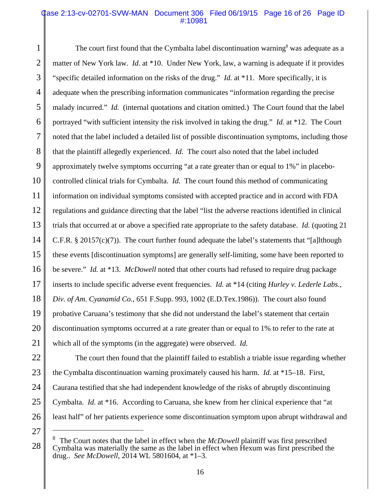### Case 2:13-cv-02701-SVW-MAN Document 306 Filed 06/19/15 Page 16 of 26 Page ID #:10981

1 2 3 4 5 6 7 8 9 10 11 12 13 14 15 16 17 18 The court first found that the Cymbalta label discontinuation warning<sup>8</sup> was adequate as a matter of New York law. *Id.* at \*10. Under New York, law, a warning is adequate if it provides "specific detailed information on the risks of the drug." *Id.* at \*11. More specifically, it is adequate when the prescribing information communicates "information regarding the precise malady incurred." *Id.* (internal quotations and citation omitted.) The Court found that the label portrayed "with sufficient intensity the risk involved in taking the drug." *Id.* at \*12. The Court noted that the label included a detailed list of possible discontinuation symptoms, including those that the plaintiff allegedly experienced. *Id.* The court also noted that the label included approximately twelve symptoms occurring "at a rate greater than or equal to 1%" in placebocontrolled clinical trials for Cymbalta. *Id.* The court found this method of communicating information on individual symptoms consisted with accepted practice and in accord with FDA regulations and guidance directing that the label "list the adverse reactions identified in clinical trials that occurred at or above a specified rate appropriate to the safety database. *Id.* (quoting 21 C.F.R. § 20157(c)(7)). The court further found adequate the label's statements that "[a]lthough these events [discontinuation symptoms] are generally self-limiting, some have been reported to be severe." *Id.* at \*13. *McDowell* noted that other courts had refused to require drug package inserts to include specific adverse event frequencies. *Id.* at \*14 (citing *Hurley v. Lederle Labs., Div. of Am. Cyanamid Co.*, 651 F.Supp. 993, 1002 (E.D.Tex.1986)). The court also found probative Caruana's testimony that she did not understand the label's statement that certain discontinuation symptoms occurred at a rate greater than or equal to 1% to refer to the rate at which all of the symptoms (in the aggregate) were observed. *Id.*

The court then found that the plaintiff failed to establish a triable issue regarding whether the Cymbalta discontinuation warning proximately caused his harm. *Id.* at \*15–18. First, Caurana testified that she had independent knowledge of the risks of abruptly discontinuing Cymbalta. *Id.* at \*16. According to Caruana, she knew from her clinical experience that "at least half" of her patients experience some discontinuation symptom upon abrupt withdrawal and

<sup>8</sup> The Court notes that the label in effect when the *McDowell* plaintiff was first prescribed Cymbalta was materially the same as the label in effect when Hexum was first prescribed the drug.. *See McDowell*, 2014 WL 5801604, at \*1–3.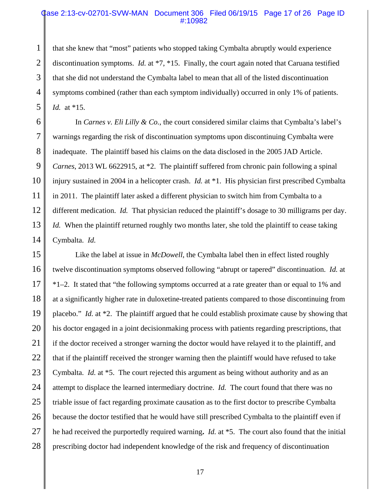### Case 2:13-cv-02701-SVW-MAN Document 306 Filed 06/19/15 Page 17 of 26 Page ID #:10982

1 2 3 4 5 that she knew that "most" patients who stopped taking Cymbalta abruptly would experience discontinuation symptoms. *Id.* at \*7, \*15. Finally, the court again noted that Caruana testified that she did not understand the Cymbalta label to mean that all of the listed discontinuation symptoms combined (rather than each symptom individually) occurred in only 1% of patients. *Id.* at \*15.

6 7 8 9 10 11 12 13 14 In *Carnes v. Eli Lilly & Co.*, the court considered similar claims that Cymbalta's label's warnings regarding the risk of discontinuation symptoms upon discontinuing Cymbalta were inadequate. The plaintiff based his claims on the data disclosed in the 2005 JAD Article. *Carnes*, 2013 WL 6622915, at \*2. The plaintiff suffered from chronic pain following a spinal injury sustained in 2004 in a helicopter crash. *Id.* at \*1. His physician first prescribed Cymbalta in 2011. The plaintiff later asked a different physician to switch him from Cymbalta to a different medication. *Id.* That physician reduced the plaintiff's dosage to 30 milligrams per day. *Id.* When the plaintiff returned roughly two months later, she told the plaintiff to cease taking Cymbalta. *Id.*

15 16 17 18 19 20 21 22 23 24 25 26 27 28 Like the label at issue in *McDowell*, the Cymbalta label then in effect listed roughly twelve discontinuation symptoms observed following "abrupt or tapered" discontinuation. *Id.* at \*1–2. It stated that "the following symptoms occurred at a rate greater than or equal to 1% and at a significantly higher rate in duloxetine-treated patients compared to those discontinuing from placebo." *Id.* at \*2. The plaintiff argued that he could establish proximate cause by showing that his doctor engaged in a joint decisionmaking process with patients regarding prescriptions, that if the doctor received a stronger warning the doctor would have relayed it to the plaintiff, and that if the plaintiff received the stronger warning then the plaintiff would have refused to take Cymbalta. *Id.* at \*5. The court rejected this argument as being without authority and as an attempt to displace the learned intermediary doctrine. *Id.* The court found that there was no triable issue of fact regarding proximate causation as to the first doctor to prescribe Cymbalta because the doctor testified that he would have still prescribed Cymbalta to the plaintiff even if he had received the purportedly required warning**.** *Id.* at \*5. The court also found that the initial prescribing doctor had independent knowledge of the risk and frequency of discontinuation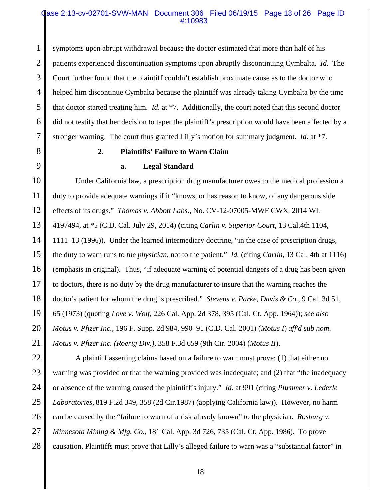### Case 2:13-cv-02701-SVW-MAN Document 306 Filed 06/19/15 Page 18 of 26 Page ID #:10983

2 3 4 5 6 7 symptoms upon abrupt withdrawal because the doctor estimated that more than half of his patients experienced discontinuation symptoms upon abruptly discontinuing Cymbalta. *Id.* The Court further found that the plaintiff couldn't establish proximate cause as to the doctor who helped him discontinue Cymbalta because the plaintiff was already taking Cymbalta by the time that doctor started treating him. *Id.* at \*7. Additionally, the court noted that this second doctor did not testify that her decision to taper the plaintiff's prescription would have been affected by a stronger warning. The court thus granted Lilly's motion for summary judgment. *Id.* at \*7.

8 9

1

### **2. Plaintiffs' Failure to Warn Claim**

### **a. Legal Standard**

10 11 12 13 14 15 16 17 18 19 20 21 Under California law, a prescription drug manufacturer owes to the medical profession a duty to provide adequate warnings if it "knows, or has reason to know, of any dangerous side effects of its drugs." *Thomas v. Abbott Labs.*, No. CV-12-07005-MWF CWX, 2014 WL 4197494, at \*5 (C.D. Cal. July 29, 2014) **(**citing *Carlin v. Superior Court*, 13 Cal.4th 1104, 1111–13 (1996)). Under the learned intermediary doctrine, "in the case of prescription drugs, the duty to warn runs to *the physician*, not to the patient." *Id.* (citing *Carlin*, 13 Cal. 4th at 1116) (emphasis in original). Thus, "if adequate warning of potential dangers of a drug has been given to doctors, there is no duty by the drug manufacturer to insure that the warning reaches the doctor's patient for whom the drug is prescribed." *Stevens v. Parke, Davis & Co.*, 9 Cal. 3d 51, 65 (1973) (quoting *Love v. Wolf*, 226 Cal. App. 2d 378, 395 (Cal. Ct. App. 1964)); *see also Motus v. Pfizer Inc.*, 196 F. Supp. 2d 984, 990–91 (C.D. Cal. 2001) (*Motus I*) *aff'd sub nom*. *Motus v. Pfizer Inc. (Roerig Div.)*, 358 F.3d 659 (9th Cir. 2004) (*Motus II*).

22 23 24 25 26 27 28 A plaintiff asserting claims based on a failure to warn must prove: (1) that either no warning was provided or that the warning provided was inadequate; and (2) that "the inadequacy" or absence of the warning caused the plaintiff's injury." *Id*. at 991 (citing *Plummer v. Lederle Laboratories*, 819 F.2d 349, 358 (2d Cir.1987) (applying California law)).However, no harm can be caused by the "failure to warn of a risk already known" to the physician. *Rosburg v. Minnesota Mining & Mfg. Co.*, 181 Cal. App. 3d 726, 735 (Cal. Ct. App. 1986). To prove causation, Plaintiffs must prove that Lilly's alleged failure to warn was a "substantial factor" in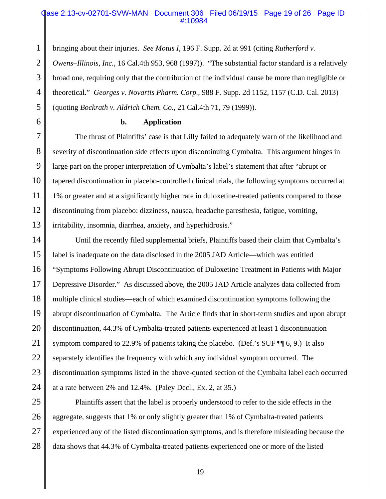### Case 2:13-cv-02701-SVW-MAN Document 306 Filed 06/19/15 Page 19 of 26 Page ID #:10984

bringing about their injuries. *See Motus I*, 196 F. Supp. 2d at 991 (citing *Rutherford v.*

2 3 4 5 *Owens–Illinois, Inc.*, 16 Cal.4th 953, 968 (1997))."The substantial factor standard is a relatively broad one, requiring only that the contribution of the individual cause be more than negligible or theoretical." *Georges v. Novartis Pharm. Corp.*, 988 F. Supp. 2d 1152, 1157 (C.D. Cal. 2013) (quoting *Bockrath v. Aldrich Chem. Co.*, 21 Cal.4th 71, 79 (1999)).

**b. Application**

1

6

7 8 9 10 11 12 13 The thrust of Plaintiffs' case is that Lilly failed to adequately warn of the likelihood and severity of discontinuation side effects upon discontinuing Cymbalta. This argument hinges in large part on the proper interpretation of Cymbalta's label's statement that after "abrupt or tapered discontinuation in placebo-controlled clinical trials, the following symptoms occurred at 1% or greater and at a significantly higher rate in duloxetine-treated patients compared to those discontinuing from placebo: dizziness, nausea, headache paresthesia, fatigue, vomiting, irritability, insomnia, diarrhea, anxiety, and hyperhidrosis."

14 15 16 17 18 19 20 21 22 23 24 Until the recently filed supplemental briefs, Plaintiffs based their claim that Cymbalta's label is inadequate on the data disclosed in the 2005 JAD Article—which was entitled "Symptoms Following Abrupt Discontinuation of Duloxetine Treatment in Patients with Major Depressive Disorder." As discussed above, the 2005 JAD Article analyzes data collected from multiple clinical studies—each of which examined discontinuation symptoms following the abrupt discontinuation of Cymbalta. The Article finds that in short-term studies and upon abrupt discontinuation, 44.3% of Cymbalta-treated patients experienced at least 1 discontinuation symptom compared to 22.9% of patients taking the placebo. (Def.'s SUF  $\P$  6, 9.) It also separately identifies the frequency with which any individual symptom occurred. The discontinuation symptoms listed in the above-quoted section of the Cymbalta label each occurred at a rate between 2% and 12.4%. (Paley Decl., Ex. 2, at 35.)

25 26 27 28 Plaintiffs assert that the label is properly understood to refer to the side effects in the aggregate, suggests that 1% or only slightly greater than 1% of Cymbalta-treated patients experienced any of the listed discontinuation symptoms, and is therefore misleading because the data shows that 44.3% of Cymbalta-treated patients experienced one or more of the listed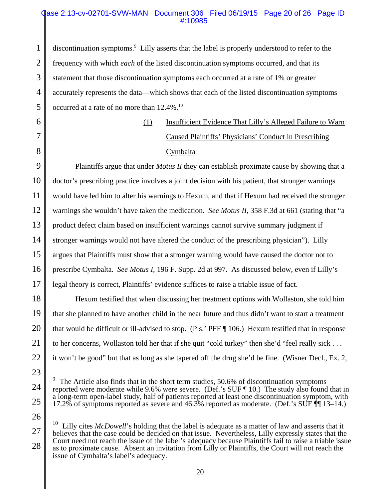### Case 2:13-cv-02701-SVW-MAN Document 306 Filed 06/19/15 Page 20 of 26 Page ID #:10985

1 2 3 4 5 discontinuation symptoms.<sup>9</sup> Lilly asserts that the label is properly understood to refer to the frequency with which *each* of the listed discontinuation symptoms occurred, and that its statement that those discontinuation symptoms each occurred at a rate of 1% or greater accurately represents the data—which shows that each of the listed discontinuation symptoms occurred at a rate of no more than  $12.4\%$ .<sup>10</sup>

6

7

8

(1) Insufficient Evidence That Lilly's Alleged Failure to Warn Caused Plaintiffs' Physicians' Conduct in Prescribing **Cymbalta** 

9 10 11 Plaintiffs argue that under *Motus II* they can establish proximate cause by showing that a doctor's prescribing practice involves a joint decision with his patient, that stronger warnings would have led him to alter his warnings to Hexum, and that if Hexum had received the stronger warnings she wouldn't have taken the medication. *See Motus II*, 358 F.3d at 661 (stating that "a product defect claim based on insufficient warnings cannot survive summary judgment if stronger warnings would not have altered the conduct of the prescribing physician"). Lilly argues that Plaintiffs must show that a stronger warning would have caused the doctor not to prescribe Cymbalta. *See Motus I*, 196 F. Supp. 2d at 997. As discussed below, even if Lilly's legal theory is correct, Plaintiffs' evidence suffices to raise a triable issue of fact.

Hexum testified that when discussing her treatment options with Wollaston, she told him that she planned to have another child in the near future and thus didn't want to start a treatment that would be difficult or ill-advised to stop. (Pls.' PFF ¶ 106.) Hexum testified that in response to her concerns, Wollaston told her that if she quit "cold turkey" then she'd "feel really sick . . . it won't be good" but that as long as she tapered off the drug she'd be fine. (Wisner Decl., Ex. 2,

<sup>9</sup> The Article also finds that in the short term studies, 50.6% of discontinuation symptoms reported were moderate while 9.6% were severe. (Def.'s SUF ¶ 10.) The study also found that in a long-term open-label study, half of patients reported at least one discontinuation symptom, with 17.2% of symptoms reported as severe and 46.3% reported as moderate. (Def.'s SUF ¶¶ 13–14.)

Lilly cites *McDowell*'s holding that the label is adequate as a matter of law and asserts that it believes that the case could be decided on that issue. Nevertheless, Lilly expressly states that the Court need not reach the issue of the label's adequacy because Plaintiffs fail to raise a triable issue as to proximate cause. Absent an invitation from Lilly or Plaintiffs, the Court will not reach the issue of Cymbalta's label's adequacy.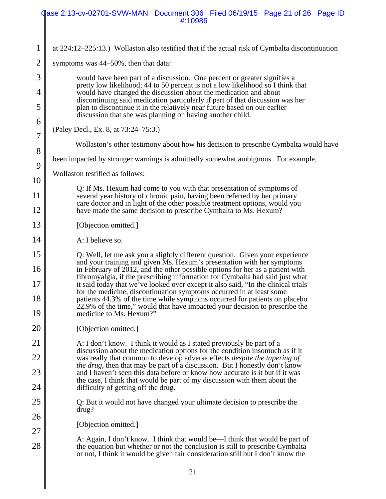|                     | ase 2:13-cv-02701-SVW-MAN Document 306 Filed 06/19/15 Page 21 of 26 Page ID<br>#:10986                                                                                                                                                                                                                           |  |  |  |  |
|---------------------|------------------------------------------------------------------------------------------------------------------------------------------------------------------------------------------------------------------------------------------------------------------------------------------------------------------|--|--|--|--|
|                     |                                                                                                                                                                                                                                                                                                                  |  |  |  |  |
| $\mathbf{1}$        | at $224:12-225:13$ .) Wollaston also testified that if the actual risk of Cymbalta discontinuation                                                                                                                                                                                                               |  |  |  |  |
| $\overline{2}$      | symptoms was 44–50%, then that data:                                                                                                                                                                                                                                                                             |  |  |  |  |
| 3                   | would have been part of a discussion. One percent or greater signifies a<br>pretty low likelihood; 44 to 50 percent is not a low likelihood so I think that<br>would have changed the discussion about the medication and about<br>discontinuing said medication particularly if part of that discussion was her |  |  |  |  |
| $\overline{4}$      |                                                                                                                                                                                                                                                                                                                  |  |  |  |  |
| 5                   | plan to discontinue it in the relatively near future based on our earlier<br>discussion that she was planning on having another child.                                                                                                                                                                           |  |  |  |  |
| 6<br>$\overline{7}$ | (Paley Decl., Ex. 8, at 73:24–75:3.)                                                                                                                                                                                                                                                                             |  |  |  |  |
| 8                   | Wollaston's other testimony about how his decision to prescribe Cymbalta would have                                                                                                                                                                                                                              |  |  |  |  |
| 9                   | been impacted by stronger warnings is admittedly somewhat ambiguous. For example,                                                                                                                                                                                                                                |  |  |  |  |
| 10                  | Wollaston testified as follows:                                                                                                                                                                                                                                                                                  |  |  |  |  |
| 11                  | Q: If Ms. Hexum had come to you with that presentation of symptoms of<br>several year history of chronic pain, having been referred by her primary                                                                                                                                                               |  |  |  |  |
| 12                  | care doctor and in light of the other possible treatment options, would you<br>have made the same decision to prescribe Cymbalta to Ms. Hexum?                                                                                                                                                                   |  |  |  |  |
| 13                  | [Objection omitted.]                                                                                                                                                                                                                                                                                             |  |  |  |  |
| 14                  | A: I believe so.                                                                                                                                                                                                                                                                                                 |  |  |  |  |
| 15                  | Q: Well, let me ask you a slightly different question. Given your experience<br>and your training and given Ms. Hexum's presentation with her symptoms                                                                                                                                                           |  |  |  |  |
| 16                  | in February of 2012, and the other possible options for her as a patient with<br>fibromyalgia, if the prescribing information for Cymbalta had said just what                                                                                                                                                    |  |  |  |  |
| 17                  | it said today that we've looked over except it also said, "In the clinical trials"<br>for the medicine, discontinuation symptoms occurred in at least some                                                                                                                                                       |  |  |  |  |
| 18<br>19            | patients 44.3% of the time while symptoms occurred for patients on placebo<br>22.9% of the time," would that have impacted your decision to prescribe the<br>medicine to Ms. Hexum?"                                                                                                                             |  |  |  |  |
| 20                  | [Objection omitted.]                                                                                                                                                                                                                                                                                             |  |  |  |  |
| 21                  | A: I don't know. I think it would as I stated previously be part of a                                                                                                                                                                                                                                            |  |  |  |  |
| <u>22</u>           | discussion about the medication options for the condition insomuch as if it<br>was really that common to develop adverse effects <i>despite the tapering of</i>                                                                                                                                                  |  |  |  |  |
| 23                  | <i>the drug</i> , then that may be part of a discussion. But I honestly don't know<br>and I haven't seen this data before or know how accurate is it but if it was                                                                                                                                               |  |  |  |  |
| 24                  | the case, I think that would be part of my discussion with them about the<br>difficulty of getting off the drug.                                                                                                                                                                                                 |  |  |  |  |
| 25                  | Q: But it would not have changed your ultimate decision to prescribe the<br>drug?                                                                                                                                                                                                                                |  |  |  |  |
| 26                  | [Objection omitted.]                                                                                                                                                                                                                                                                                             |  |  |  |  |
| 27                  | A: Again, I don't know. I think that would be—I think that would be part of                                                                                                                                                                                                                                      |  |  |  |  |
| 28                  | the equation but whether or not the conclusion is still to prescribe Cymbalta<br>or not, I think it would be given fair consideration still but I don't know the                                                                                                                                                 |  |  |  |  |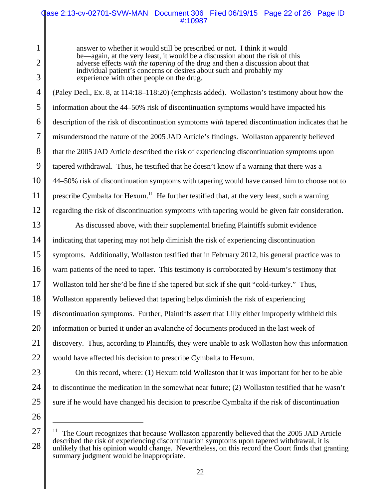### Case 2:13-cv-02701-SVW-MAN Document 306 Filed 06/19/15 Page 22 of 26 Page ID #:10987

answer to whether it would still be prescribed or not. I think it would be—again, at the very least, it would be a discussion about the risk of this adverse effects *with the tapering* of the drug and then a discussion about that individual patient's concerns or desires about such and probably my experience with other people on the drug.

4 5 6 7 8 9 10 11 12 (Paley Decl., Ex. 8, at 114:18–118:20) (emphasis added). Wollaston's testimony about how the information about the 44–50% risk of discontinuation symptoms would have impacted his description of the risk of discontinuation symptoms *with* tapered discontinuation indicates that he misunderstood the nature of the 2005 JAD Article's findings. Wollaston apparently believed that the 2005 JAD Article described the risk of experiencing discontinuation symptoms upon tapered withdrawal. Thus, he testified that he doesn't know if a warning that there was a 44–50% risk of discontinuation symptoms with tapering would have caused him to choose not to prescribe Cymbalta for Hexum.<sup>11</sup> He further testified that, at the very least, such a warning regarding the risk of discontinuation symptoms with tapering would be given fair consideration.

13 14 15 16 17 18 19 20 21 22 As discussed above, with their supplemental briefing Plaintiffs submit evidence indicating that tapering may not help diminish the risk of experiencing discontinuation symptoms. Additionally, Wollaston testified that in February 2012, his general practice was to warn patients of the need to taper. This testimony is corroborated by Hexum's testimony that Wollaston told her she'd be fine if she tapered but sick if she quit "cold-turkey." Thus, Wollaston apparently believed that tapering helps diminish the risk of experiencing discontinuation symptoms. Further, Plaintiffs assert that Lilly either improperly withheld this information or buried it under an avalanche of documents produced in the last week of discovery. Thus, according to Plaintiffs, they were unable to ask Wollaston how this information would have affected his decision to prescribe Cymbalta to Hexum.

23 24 25

26

1

2

3

On this record, where: (1) Hexum told Wollaston that it was important for her to be able

to discontinue the medication in the somewhat near future; (2) Wollaston testified that he wasn't

sure if he would have changed his decision to prescribe Cymbalta if the risk of discontinuation

<sup>27</sup> 28  $11$  The Court recognizes that because Wollaston apparently believed that the 2005 JAD Article described the risk of experiencing discontinuation symptoms upon tapered withdrawal, it is unlikely that his opinion would change. Nevertheless, on this record the Court finds that granting summary judgment would be inappropriate.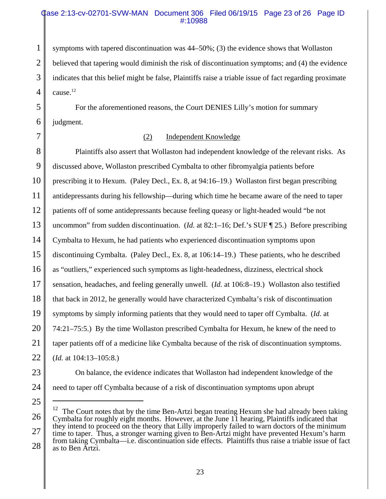### Case 2:13-cv-02701-SVW-MAN Document 306 Filed 06/19/15 Page 23 of 26 Page ID #:10988

symptoms with tapered discontinuation was 44–50%; (3) the evidence shows that Wollaston believed that tapering would diminish the risk of discontinuation symptoms; and (4) the evidence indicates that this belief might be false, Plaintiffs raise a triable issue of fact regarding proximate  $c$ ause. $12$ 

For the aforementioned reasons, the Court DENIES Lilly's motion for summary judgment.

1

2

3

4

5

6

7

### (2) Independent Knowledge

8 9 10 11 12 13 14 15 16 17 18 19 20 21 Plaintiffs also assert that Wollaston had independent knowledge of the relevant risks. As discussed above, Wollaston prescribed Cymbalta to other fibromyalgia patients before prescribing it to Hexum. (Paley Decl., Ex. 8, at 94:16–19.) Wollaston first began prescribing antidepressants during his fellowship—during which time he became aware of the need to taper patients off of some antidepressants because feeling queasy or light-headed would "be not uncommon" from sudden discontinuation. (*Id.* at 82:1–16; Def.'s SUF [25.) Before prescribing Cymbalta to Hexum, he had patients who experienced discontinuation symptoms upon discontinuing Cymbalta. (Paley Decl., Ex. 8*,* at 106:14–19.) These patients, who he described as "outliers," experienced such symptoms as light-headedness, dizziness, electrical shock sensation, headaches, and feeling generally unwell. (*Id.* at 106:8–19.) Wollaston also testified that back in 2012, he generally would have characterized Cymbalta's risk of discontinuation symptoms by simply informing patients that they would need to taper off Cymbalta. (*Id.* at 74:21–75:5.) By the time Wollaston prescribed Cymbalta for Hexum, he knew of the need to taper patients off of a medicine like Cymbalta because of the risk of discontinuation symptoms. (*Id.* at 104:13–105:8.)

need to taper off Cymbalta because of a risk of discontinuation symptoms upon abrupt

On balance, the evidence indicates that Wollaston had independent knowledge of the

<sup>26</sup> 27 28  $12$  The Court notes that by the time Ben-Artzi began treating Hexum she had already been taking Cymbalta for roughly eight months. However, at the June 11 hearing, Plaintiffs indicated that they intend to proceed on the theory that Lilly improperly failed to warn doctors of the minimum time to taper. Thus, a stronger warning given to Ben-Artzi might have prevented Hexum's harm from taking Cymbalta—i.e. discontinuation side effects. Plaintiffs thus raise a triable issue of fact as to Ben Artzi.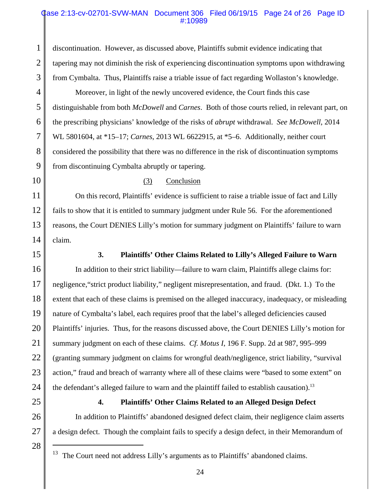### Case 2:13-cv-02701-SVW-MAN Document 306 Filed 06/19/15 Page 24 of 26 Page ID #:10989

discontinuation. However, as discussed above, Plaintiffs submit evidence indicating that tapering may not diminish the risk of experiencing discontinuation symptoms upon withdrawing from Cymbalta. Thus, Plaintiffs raise a triable issue of fact regarding Wollaston's knowledge.

Moreover, in light of the newly uncovered evidence, the Court finds this case distinguishable from both *McDowell* and *Carnes*. Both of those courts relied, in relevant part, on the prescribing physicians' knowledge of the risks of *abrupt* withdrawal. *See McDowell*, 2014 WL 5801604, at \*15–17; *Carnes*, 2013 WL 6622915, at \*5–6. Additionally, neither court considered the possibility that there was no difference in the risk of discontinuation symptoms from discontinuing Cymbalta abruptly or tapering.

10

1

2

3

4

5

6

7

8

9

### (3) Conclusion

11 12 13 14 On this record, Plaintiffs' evidence is sufficient to raise a triable issue of fact and Lilly fails to show that it is entitled to summary judgment under Rule 56. For the aforementioned reasons, the Court DENIES Lilly's motion for summary judgment on Plaintiffs' failure to warn claim.

15

### **3. Plaintiffs' Other Claims Related to Lilly's Alleged Failure to Warn**

16 17 18 19 20 21 22 23 24 In addition to their strict liability—failure to warn claim, Plaintiffs allege claims for: negligence,"strict product liability," negligent misrepresentation, and fraud. (Dkt. 1.)To the extent that each of these claims is premised on the alleged inaccuracy, inadequacy, or misleading nature of Cymbalta's label, each requires proof that the label's alleged deficiencies caused Plaintiffs' injuries. Thus, for the reasons discussed above, the Court DENIES Lilly's motion for summary judgment on each of these claims. *Cf. Motus I*, 196 F. Supp. 2d at 987, 995–999 (granting summary judgment on claims for wrongful death/negligence, strict liability, "survival action," fraud and breach of warranty where all of these claims were "based to some extent" on the defendant's alleged failure to warn and the plaintiff failed to establish causation).<sup>13</sup>

25

26

27

28

### **4. Plaintiffs' Other Claims Related to an Alleged Design Defect**

In addition to Plaintiffs' abandoned designed defect claim, their negligence claim asserts a design defect. Though the complaint fails to specify a design defect, in their Memorandum of

The Court need not address Lilly's arguments as to Plaintiffs' abandoned claims.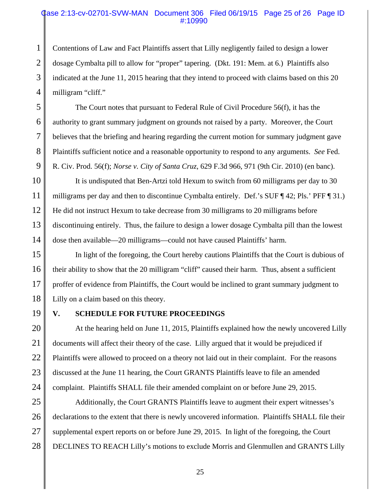### Case 2:13-cv-02701-SVW-MAN Document 306 Filed 06/19/15 Page 25 of 26 Page ID #:10990

Contentions of Law and Fact Plaintiffs assert that Lilly negligently failed to design a lower dosage Cymbalta pill to allow for "proper" tapering. (Dkt. 191: Mem. at 6.) Plaintiffs also indicated at the June 11, 2015 hearing that they intend to proceed with claims based on this 20 milligram "cliff."

The Court notes that pursuant to Federal Rule of Civil Procedure 56(f), it has the authority to grant summary judgment on grounds not raised by a party. Moreover, the Court believes that the briefing and hearing regarding the current motion for summary judgment gave Plaintiffs sufficient notice and a reasonable opportunity to respond to any arguments. *See* Fed. R. Civ. Prod. 56(f); *Norse v. City of Santa Cruz*, 629 F.3d 966, 971 (9th Cir. 2010) (en banc).

10 11 12 13 14 It is undisputed that Ben-Artzi told Hexum to switch from 60 milligrams per day to 30 milligrams per day and then to discontinue Cymbalta entirely. Def.'s SUF ¶ 42; Pls.' PFF ¶ 31.) He did not instruct Hexum to take decrease from 30 milligrams to 20 milligrams before discontinuing entirely. Thus, the failure to design a lower dosage Cymbalta pill than the lowest dose then available—20 milligrams—could not have caused Plaintiffs' harm.

15 16 17 18 In light of the foregoing, the Court hereby cautions Plaintiffs that the Court is dubious of their ability to show that the 20 milligram "cliff" caused their harm. Thus, absent a sufficient proffer of evidence from Plaintiffs, the Court would be inclined to grant summary judgment to Lilly on a claim based on this theory.

19

1

2

3

4

5

6

7

8

9

### **V. SCHEDULE FOR FUTURE PROCEEDINGS**

20 21 22 23 24 At the hearing held on June 11, 2015, Plaintiffs explained how the newly uncovered Lilly documents will affect their theory of the case. Lilly argued that it would be prejudiced if Plaintiffs were allowed to proceed on a theory not laid out in their complaint. For the reasons discussed at the June 11 hearing, the Court GRANTS Plaintiffs leave to file an amended complaint. Plaintiffs SHALL file their amended complaint on or before June 29, 2015.

25 26 27 28 Additionally, the Court GRANTS Plaintiffs leave to augment their expert witnesses's declarations to the extent that there is newly uncovered information. Plaintiffs SHALL file their supplemental expert reports on or before June 29, 2015. In light of the foregoing, the Court DECLINES TO REACH Lilly's motions to exclude Morris and Glenmullen and GRANTS Lilly